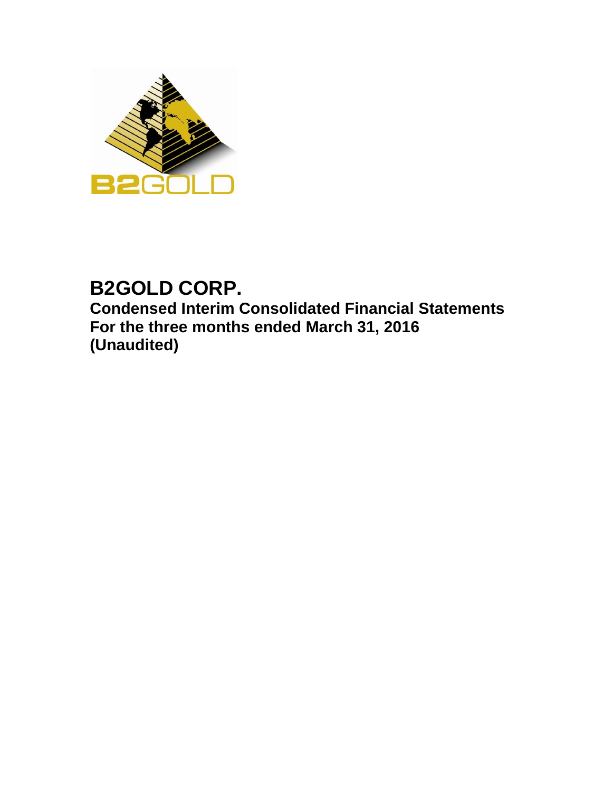

# **B2GOLD CORP. Condensed Interim Consolidated Financial Statements For the three months ended March 31, 2016 (Unaudited)**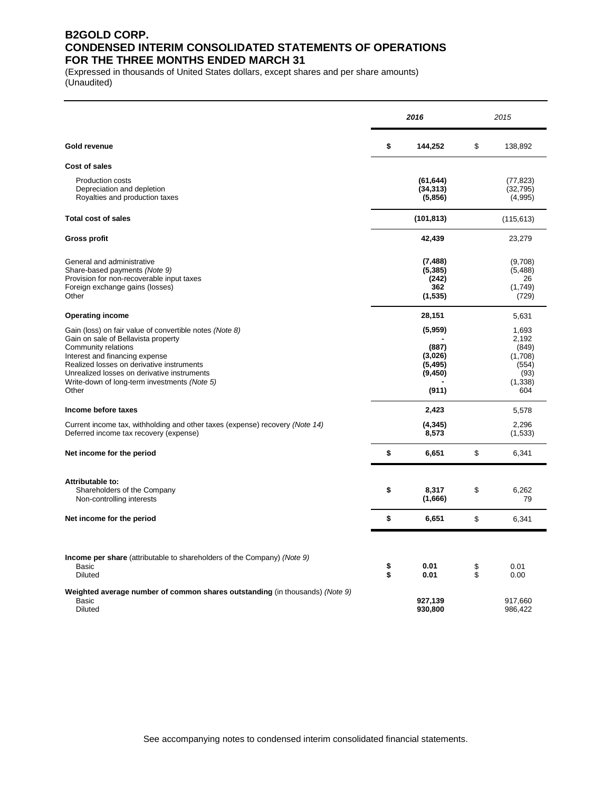### **B2GOLD CORP. CONDENSED INTERIM CONSOLIDATED STATEMENTS OF OPERATIONS FOR THE THREE MONTHS ENDED MARCH 31**

(Expressed in thousands of United States dollars, except shares and per share amounts) (Unaudited)

|                                                                                                                                                                                                                                                                                                              |          | 2016                                                         |          | 2015                                                                  |  |  |
|--------------------------------------------------------------------------------------------------------------------------------------------------------------------------------------------------------------------------------------------------------------------------------------------------------------|----------|--------------------------------------------------------------|----------|-----------------------------------------------------------------------|--|--|
| Gold revenue                                                                                                                                                                                                                                                                                                 | \$       | 144,252                                                      | \$       | 138,892                                                               |  |  |
| Cost of sales                                                                                                                                                                                                                                                                                                |          |                                                              |          |                                                                       |  |  |
| Production costs<br>Depreciation and depletion<br>Royalties and production taxes                                                                                                                                                                                                                             |          | (61, 644)<br>(34, 313)<br>(5,856)                            |          | (77, 823)<br>(32, 795)<br>(4,995)                                     |  |  |
| <b>Total cost of sales</b>                                                                                                                                                                                                                                                                                   |          | (101, 813)                                                   |          | (115, 613)                                                            |  |  |
| <b>Gross profit</b>                                                                                                                                                                                                                                                                                          |          | 42,439                                                       |          | 23,279                                                                |  |  |
| General and administrative<br>Share-based payments (Note 9)<br>Provision for non-recoverable input taxes<br>Foreign exchange gains (losses)<br>Other                                                                                                                                                         |          | (7, 488)<br>(5, 385)<br>(242)<br>362<br>(1, 535)             |          | (9,708)<br>(5,488)<br>26<br>(1,749)<br>(729)                          |  |  |
| <b>Operating income</b>                                                                                                                                                                                                                                                                                      |          | 28,151                                                       |          | 5,631                                                                 |  |  |
| Gain (loss) on fair value of convertible notes (Note 8)<br>Gain on sale of Bellavista property<br>Community relations<br>Interest and financing expense<br>Realized losses on derivative instruments<br>Unrealized losses on derivative instruments<br>Write-down of long-term investments (Note 5)<br>Other |          | (5,959)<br>(887)<br>(3,026)<br>(5, 495)<br>(9, 450)<br>(911) |          | 1,693<br>2,192<br>(849)<br>(1,708)<br>(554)<br>(93)<br>(1,338)<br>604 |  |  |
| Income before taxes                                                                                                                                                                                                                                                                                          |          | 2,423                                                        |          | 5,578                                                                 |  |  |
| Current income tax, withholding and other taxes (expense) recovery (Note 14)<br>Deferred income tax recovery (expense)                                                                                                                                                                                       |          | (4, 345)<br>8,573                                            |          | 2,296<br>(1,533)                                                      |  |  |
| Net income for the period                                                                                                                                                                                                                                                                                    | \$       | 6,651                                                        | \$       | 6,341                                                                 |  |  |
| Attributable to:<br>Shareholders of the Company<br>Non-controlling interests                                                                                                                                                                                                                                 | \$       | 8,317<br>(1,666)                                             | \$       | 6,262<br>79                                                           |  |  |
| Net income for the period                                                                                                                                                                                                                                                                                    | \$       | 6,651                                                        | \$       | 6,341                                                                 |  |  |
| Income per share (attributable to shareholders of the Company) (Note 9)<br>Basic<br><b>Diluted</b>                                                                                                                                                                                                           | \$<br>\$ | 0.01<br>0.01                                                 | \$<br>\$ | 0.01<br>0.00                                                          |  |  |
| Weighted average number of common shares outstanding (in thousands) (Note 9)<br><b>Basic</b><br><b>Diluted</b>                                                                                                                                                                                               |          | 927,139<br>930,800                                           |          | 917,660<br>986,422                                                    |  |  |

See accompanying notes to condensed interim consolidated financial statements.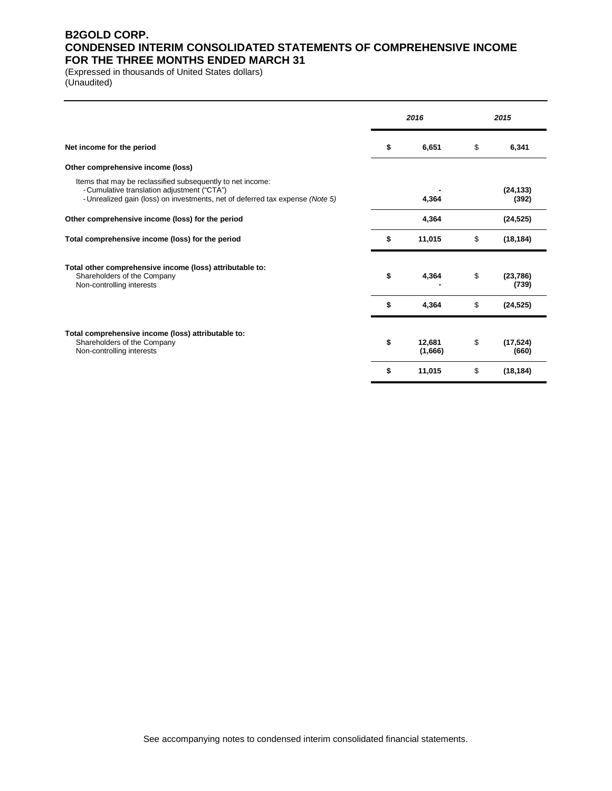### **B2GOLD CORP. CONDENSED INTERIM CONSOLIDATED STATEMENTS OF COMPREHENSIVE INCOME FOR THE THREE MONTHS ENDED MARCH 31**

(Expressed in thousands of United States dollars) (Unaudited)

|                                                                                                                                                                                            | 2016                    | 2015 |                    |  |  |
|--------------------------------------------------------------------------------------------------------------------------------------------------------------------------------------------|-------------------------|------|--------------------|--|--|
| Net income for the period                                                                                                                                                                  | \$<br>6,651             | \$   | 6,341              |  |  |
| Other comprehensive income (loss)                                                                                                                                                          |                         |      |                    |  |  |
| Items that may be reclassified subsequently to net income:<br>- Cumulative translation adjustment ("CTA")<br>- Unrealized gain (loss) on investments, net of deferred tax expense (Note 5) | 4,364                   |      | (24, 133)<br>(392) |  |  |
| Other comprehensive income (loss) for the period                                                                                                                                           | 4,364                   |      | (24, 525)          |  |  |
| Total comprehensive income (loss) for the period                                                                                                                                           | \$<br>11,015            | \$   | (18, 184)          |  |  |
| Total other comprehensive income (loss) attributable to:<br>Shareholders of the Company<br>Non-controlling interests                                                                       | \$<br>4,364             | \$   | (23, 786)<br>(739) |  |  |
|                                                                                                                                                                                            | \$<br>4,364             | \$   | (24, 525)          |  |  |
| Total comprehensive income (loss) attributable to:<br>Shareholders of the Company<br>Non-controlling interests                                                                             | \$<br>12,681<br>(1,666) | \$   | (17, 524)<br>(660) |  |  |
|                                                                                                                                                                                            | \$<br>11,015            | \$   | (18, 184)          |  |  |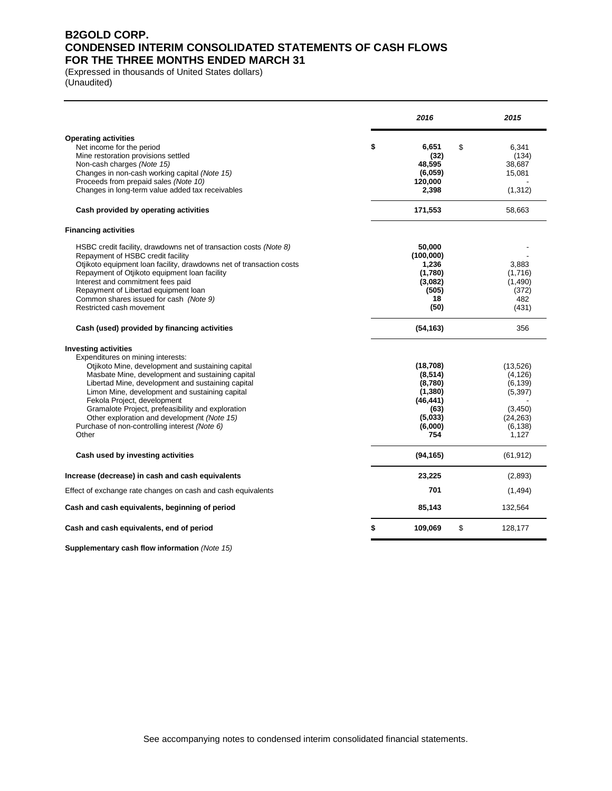### **B2GOLD CORP. CONDENSED INTERIM CONSOLIDATED STATEMENTS OF CASH FLOWS FOR THE THREE MONTHS ENDED MARCH 31**

(Expressed in thousands of United States dollars) (Unaudited)

|                                                                                                                                                                                                                                                                                                                                                                                                                                                                               | 2016                                                                                          | 2015                                                                                      |
|-------------------------------------------------------------------------------------------------------------------------------------------------------------------------------------------------------------------------------------------------------------------------------------------------------------------------------------------------------------------------------------------------------------------------------------------------------------------------------|-----------------------------------------------------------------------------------------------|-------------------------------------------------------------------------------------------|
| <b>Operating activities</b><br>Net income for the period<br>Mine restoration provisions settled<br>Non-cash charges (Note 15)<br>Changes in non-cash working capital (Note 15)<br>Proceeds from prepaid sales (Note 10)<br>Changes in long-term value added tax receivables                                                                                                                                                                                                   | \$<br>6.651<br>\$<br>(32)<br>48,595<br>(6,059)<br>120,000<br>2,398                            | 6,341<br>(134)<br>38,687<br>15,081<br>(1, 312)                                            |
| Cash provided by operating activities                                                                                                                                                                                                                                                                                                                                                                                                                                         | 171,553                                                                                       | 58,663                                                                                    |
| <b>Financing activities</b>                                                                                                                                                                                                                                                                                                                                                                                                                                                   |                                                                                               |                                                                                           |
| HSBC credit facility, drawdowns net of transaction costs (Note 8)<br>Repayment of HSBC credit facility<br>Otjikoto equipment loan facility, drawdowns net of transaction costs<br>Repayment of Otjikoto equipment loan facility<br>Interest and commitment fees paid<br>Repayment of Libertad equipment loan<br>Common shares issued for cash (Note 9)<br>Restricted cash movement                                                                                            | 50,000<br>(100,000)<br>1,236<br>(1,780)<br>(3,082)<br>(505)<br>18<br>(50)                     | 3,883<br>(1,716)<br>(1,490)<br>(372)<br>482<br>(431)                                      |
| Cash (used) provided by financing activities                                                                                                                                                                                                                                                                                                                                                                                                                                  | (54, 163)                                                                                     | 356                                                                                       |
| <b>Investing activities</b><br>Expenditures on mining interests:<br>Otjikoto Mine, development and sustaining capital<br>Masbate Mine, development and sustaining capital<br>Libertad Mine, development and sustaining capital<br>Limon Mine, development and sustaining capital<br>Fekola Project, development<br>Gramalote Project, prefeasibility and exploration<br>Other exploration and development (Note 15)<br>Purchase of non-controlling interest (Note 6)<br>Other | (18, 708)<br>(8, 514)<br>(8,780)<br>(1,380)<br>(46, 441)<br>(63)<br>(5,033)<br>(6,000)<br>754 | (13,526)<br>(4, 126)<br>(6, 139)<br>(5, 397)<br>(3,450)<br>(24, 263)<br>(6, 138)<br>1,127 |
| Cash used by investing activities                                                                                                                                                                                                                                                                                                                                                                                                                                             | (94, 165)                                                                                     | (61, 912)                                                                                 |
| Increase (decrease) in cash and cash equivalents                                                                                                                                                                                                                                                                                                                                                                                                                              | 23,225                                                                                        | (2,893)                                                                                   |
| Effect of exchange rate changes on cash and cash equivalents                                                                                                                                                                                                                                                                                                                                                                                                                  | 701                                                                                           | (1, 494)                                                                                  |
| Cash and cash equivalents, beginning of period                                                                                                                                                                                                                                                                                                                                                                                                                                | 85,143                                                                                        | 132,564                                                                                   |
| Cash and cash equivalents, end of period                                                                                                                                                                                                                                                                                                                                                                                                                                      | \$<br>\$<br>109,069                                                                           | 128,177                                                                                   |

**Supplementary cash flow information** *(Note 15)*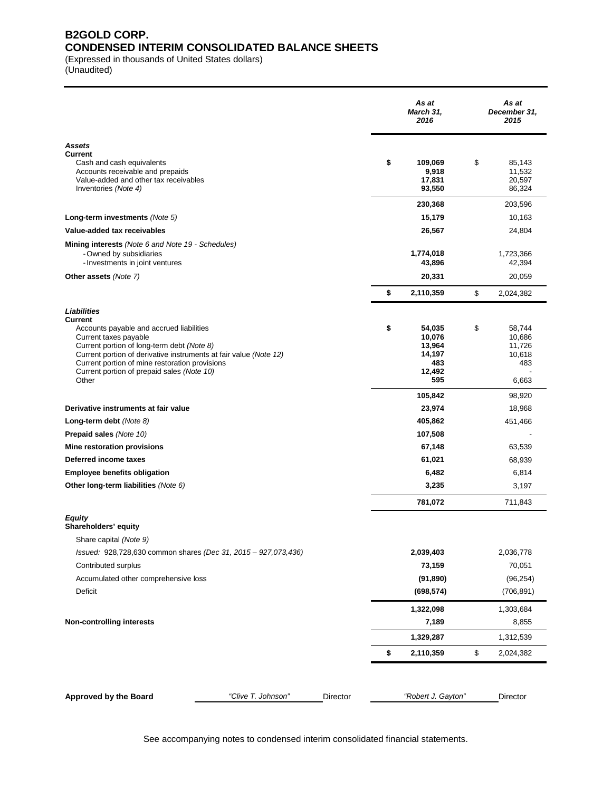### **B2GOLD CORP. CONDENSED INTERIM CONSOLIDATED BALANCE SHEETS**

(Expressed in thousands of United States dollars)

(Unaudited)

|                                                                                                                                                                                                                                                                                                                         |                    |          | As at<br>March 31,<br>2016                                                    | As at<br>December 31,<br>2015                                        |
|-------------------------------------------------------------------------------------------------------------------------------------------------------------------------------------------------------------------------------------------------------------------------------------------------------------------------|--------------------|----------|-------------------------------------------------------------------------------|----------------------------------------------------------------------|
| <b>Assets</b><br>Current<br>Cash and cash equivalents<br>Accounts receivable and prepaids<br>Value-added and other tax receivables<br>Inventories (Note 4)                                                                                                                                                              |                    |          | \$<br>109,069<br>9,918<br>17,831<br>93,550                                    | \$<br>85,143<br>11,532<br>20,597<br>86,324                           |
|                                                                                                                                                                                                                                                                                                                         |                    |          | 230,368                                                                       | 203,596                                                              |
| Long-term investments (Note 5)                                                                                                                                                                                                                                                                                          |                    |          | 15,179                                                                        | 10,163                                                               |
| Value-added tax receivables                                                                                                                                                                                                                                                                                             |                    |          | 26,567                                                                        | 24,804                                                               |
| <b>Mining interests</b> (Note 6 and Note 19 - Schedules)<br>- Owned by subsidiaries<br>- Investments in joint ventures                                                                                                                                                                                                  |                    |          | 1,774,018<br>43,896                                                           | 1,723,366<br>42,394                                                  |
| Other assets (Note 7)                                                                                                                                                                                                                                                                                                   |                    |          | 20,331                                                                        | 20,059                                                               |
|                                                                                                                                                                                                                                                                                                                         |                    |          | \$<br>2,110,359                                                               | \$<br>2,024,382                                                      |
| Liabilities<br>Current<br>Accounts payable and accrued liabilities<br>Current taxes payable<br>Current portion of long-term debt (Note 8)<br>Current portion of derivative instruments at fair value (Note 12)<br>Current portion of mine restoration provisions<br>Current portion of prepaid sales (Note 10)<br>Other |                    |          | \$<br>54,035<br>10,076<br>13,964<br>14,197<br>483<br>12,492<br>595<br>105,842 | \$<br>58,744<br>10,686<br>11,726<br>10,618<br>483<br>6,663<br>98,920 |
| Derivative instruments at fair value                                                                                                                                                                                                                                                                                    |                    |          | 23,974                                                                        | 18,968                                                               |
| Long-term debt $(Note 8)$                                                                                                                                                                                                                                                                                               |                    |          | 405,862                                                                       | 451,466                                                              |
| Prepaid sales (Note 10)                                                                                                                                                                                                                                                                                                 |                    |          | 107,508                                                                       |                                                                      |
| Mine restoration provisions                                                                                                                                                                                                                                                                                             |                    |          | 67,148                                                                        | 63,539                                                               |
| Deferred income taxes                                                                                                                                                                                                                                                                                                   |                    |          | 61,021                                                                        | 68,939                                                               |
| <b>Employee benefits obligation</b>                                                                                                                                                                                                                                                                                     |                    |          | 6,482                                                                         | 6,814                                                                |
| Other long-term liabilities (Note 6)                                                                                                                                                                                                                                                                                    |                    |          | 3,235                                                                         | 3,197                                                                |
|                                                                                                                                                                                                                                                                                                                         |                    |          | 781,072                                                                       | 711,843                                                              |
| Equity<br>Shareholders' equity                                                                                                                                                                                                                                                                                          |                    |          |                                                                               |                                                                      |
| Share capital (Note 9)                                                                                                                                                                                                                                                                                                  |                    |          |                                                                               |                                                                      |
| Issued: 928,728,630 common shares (Dec 31, 2015 - 927,073,436)                                                                                                                                                                                                                                                          |                    |          | 2,039,403                                                                     | 2,036,778                                                            |
| Contributed surplus                                                                                                                                                                                                                                                                                                     |                    |          | 73,159                                                                        | 70,051                                                               |
| Accumulated other comprehensive loss<br>Deficit                                                                                                                                                                                                                                                                         |                    |          | (91, 890)<br>(698, 574)                                                       | (96, 254)<br>(706, 891)                                              |
|                                                                                                                                                                                                                                                                                                                         |                    |          |                                                                               |                                                                      |
|                                                                                                                                                                                                                                                                                                                         |                    |          | 1,322,098                                                                     | 1,303,684                                                            |
| <b>Non-controlling interests</b>                                                                                                                                                                                                                                                                                        |                    |          | 7,189                                                                         | 8,855                                                                |
|                                                                                                                                                                                                                                                                                                                         |                    |          | 1,329,287                                                                     | 1,312,539                                                            |
|                                                                                                                                                                                                                                                                                                                         |                    |          | \$<br>2,110,359                                                               | \$<br>2,024,382                                                      |
| Approved by the Board                                                                                                                                                                                                                                                                                                   | "Clive T. Johnson" | Director | "Robert J. Gayton"                                                            | Director                                                             |

See accompanying notes to condensed interim consolidated financial statements.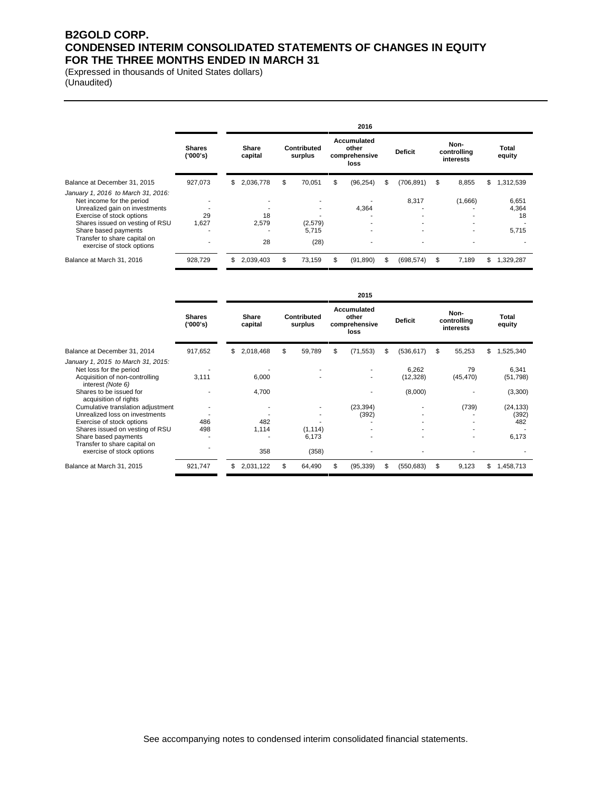### **B2GOLD CORP. CONDENSED INTERIM CONSOLIDATED STATEMENTS OF CHANGES IN EQUITY FOR THE THREE MONTHS ENDED IN MARCH 31**

(Expressed in thousands of United States dollars) (Unaudited)

|                                                                                                                                                                                                                                                        |                            | 2016 |                   |   |                          |    |                                               |    |                |   |                                  |                               |
|--------------------------------------------------------------------------------------------------------------------------------------------------------------------------------------------------------------------------------------------------------|----------------------------|------|-------------------|---|--------------------------|----|-----------------------------------------------|----|----------------|---|----------------------------------|-------------------------------|
|                                                                                                                                                                                                                                                        | <b>Shares</b><br>('000's)  |      | Share<br>capital  |   | Contributed<br>surplus   |    | Accumulated<br>other<br>comprehensive<br>loss |    | <b>Deficit</b> |   | Non-<br>controlling<br>interests | Total<br>equity               |
| Balance at December 31, 2015                                                                                                                                                                                                                           | 927,073                    | \$   | 2,036,778         | S | 70,051                   | \$ | (96, 254)                                     | \$ | (706, 891)     | S | 8,855                            | \$<br>1,312,539               |
| January 1, 2016 to March 31, 2016:<br>Net income for the period<br>Unrealized gain on investments<br>Exercise of stock options<br>Shares issued on vesting of RSU<br>Share based payments<br>Transfer to share capital on<br>exercise of stock options | ۰<br>۰<br>29<br>1.627<br>۰ |      | 18<br>2.579<br>28 |   | (2,579)<br>5,715<br>(28) |    | 4.364<br>۰.                                   |    | 8,317<br>۰     |   | (1,666)<br>۰<br>۰                | 6,651<br>4,364<br>18<br>5,715 |
| Balance at March 31, 2016                                                                                                                                                                                                                              | 928,729                    | \$   | 2.039.403         | S | 73.159                   | S  | (91, 890)                                     | S  | (698, 574)     | S | 7.189                            | \$<br>1,329,287               |

|                                                                                                                      |                           | 2015 |                  |    |                               |    |                                               |    |                    |                                  |                    |
|----------------------------------------------------------------------------------------------------------------------|---------------------------|------|------------------|----|-------------------------------|----|-----------------------------------------------|----|--------------------|----------------------------------|--------------------|
|                                                                                                                      | <b>Shares</b><br>('000's) |      | Share<br>capital |    | <b>Contributed</b><br>surplus |    | Accumulated<br>other<br>comprehensive<br>loss |    | <b>Deficit</b>     | Non-<br>controlling<br>interests | Total<br>equity    |
| Balance at December 31, 2014                                                                                         | 917,652                   | \$   | 2,018,468        | S  | 59,789                        | \$ | (71, 553)                                     | S  | (536, 617)         | \$<br>55,253                     | \$<br>1,525,340    |
| January 1, 2015 to March 31, 2015:<br>Net loss for the period<br>Acquisition of non-controlling<br>interest (Note 6) | 3,111                     |      | 6,000            |    |                               |    |                                               |    | 6,262<br>(12, 328) | 79<br>(45, 470)                  | 6,341<br>(51, 798) |
| Shares to be issued for<br>acquisition of rights                                                                     |                           |      | 4,700            |    |                               |    |                                               |    | (8,000)            |                                  | (3,300)            |
| Cumulative translation adjustment                                                                                    |                           |      |                  |    |                               |    | (23, 394)                                     |    |                    | (739)                            | (24, 133)          |
| Unrealized loss on investments                                                                                       |                           |      |                  |    |                               |    | (392)                                         |    |                    |                                  | (392)              |
| Exercise of stock options                                                                                            | 486                       |      | 482              |    |                               |    |                                               |    |                    |                                  | 482                |
| Shares issued on vesting of RSU                                                                                      | 498                       |      | 1,114            |    | (1, 114)                      |    |                                               |    |                    |                                  |                    |
| Share based payments<br>Transfer to share capital on                                                                 |                           |      |                  |    | 6,173                         |    |                                               |    |                    |                                  | 6,173              |
| exercise of stock options                                                                                            |                           |      | 358              |    | (358)                         |    |                                               |    |                    |                                  |                    |
| Balance at March 31, 2015                                                                                            | 921,747                   | \$   | 2,031,122        | \$ | 64,490                        | S  | (95, 339)                                     | \$ | (550, 683)         | \$<br>9,123                      | \$<br>1,458,713    |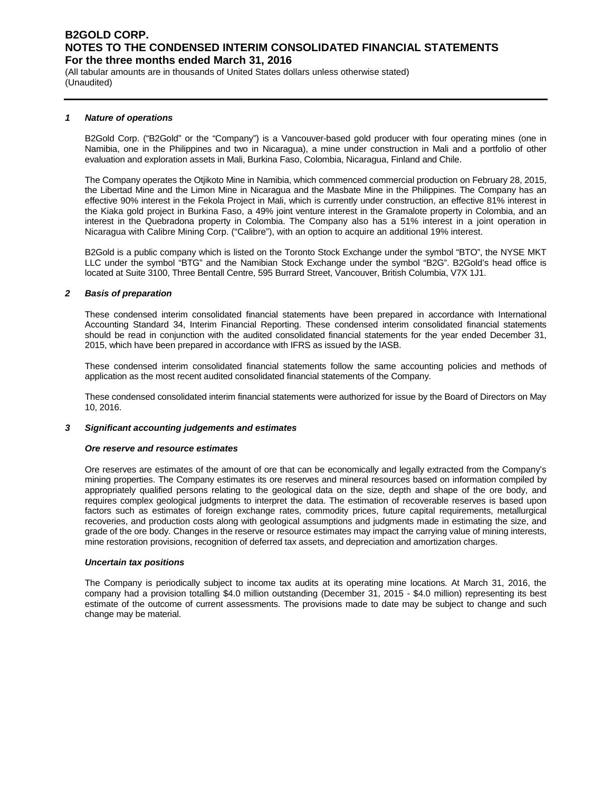(All tabular amounts are in thousands of United States dollars unless otherwise stated) (Unaudited)

#### *1 Nature of operations*

B2Gold Corp. ("B2Gold" or the "Company") is a Vancouver-based gold producer with four operating mines (one in Namibia, one in the Philippines and two in Nicaragua), a mine under construction in Mali and a portfolio of other evaluation and exploration assets in Mali, Burkina Faso, Colombia, Nicaragua, Finland and Chile.

The Company operates the Otjikoto Mine in Namibia, which commenced commercial production on February 28, 2015, the Libertad Mine and the Limon Mine in Nicaragua and the Masbate Mine in the Philippines. The Company has an effective 90% interest in the Fekola Project in Mali, which is currently under construction, an effective 81% interest in the Kiaka gold project in Burkina Faso, a 49% joint venture interest in the Gramalote property in Colombia, and an interest in the Quebradona property in Colombia. The Company also has a 51% interest in a joint operation in Nicaragua with Calibre Mining Corp. ("Calibre"), with an option to acquire an additional 19% interest.

B2Gold is a public company which is listed on the Toronto Stock Exchange under the symbol "BTO", the NYSE MKT LLC under the symbol "BTG" and the Namibian Stock Exchange under the symbol "B2G". B2Gold's head office is located at Suite 3100, Three Bentall Centre, 595 Burrard Street, Vancouver, British Columbia, V7X 1J1.

#### *2 Basis of preparation*

These condensed interim consolidated financial statements have been prepared in accordance with International Accounting Standard 34, Interim Financial Reporting. These condensed interim consolidated financial statements should be read in conjunction with the audited consolidated financial statements for the year ended December 31, 2015, which have been prepared in accordance with IFRS as issued by the IASB.

These condensed interim consolidated financial statements follow the same accounting policies and methods of application as the most recent audited consolidated financial statements of the Company.

These condensed consolidated interim financial statements were authorized for issue by the Board of Directors on May 10, 2016.

#### *3 Significant accounting judgements and estimates*

#### *Ore reserve and resource estimates*

Ore reserves are estimates of the amount of ore that can be economically and legally extracted from the Company's mining properties. The Company estimates its ore reserves and mineral resources based on information compiled by appropriately qualified persons relating to the geological data on the size, depth and shape of the ore body, and requires complex geological judgments to interpret the data. The estimation of recoverable reserves is based upon factors such as estimates of foreign exchange rates, commodity prices, future capital requirements, metallurgical recoveries, and production costs along with geological assumptions and judgments made in estimating the size, and grade of the ore body. Changes in the reserve or resource estimates may impact the carrying value of mining interests, mine restoration provisions, recognition of deferred tax assets, and depreciation and amortization charges.

#### *Uncertain tax positions*

The Company is periodically subject to income tax audits at its operating mine locations. At March 31, 2016, the company had a provision totalling \$4.0 million outstanding (December 31, 2015 - \$4.0 million) representing its best estimate of the outcome of current assessments. The provisions made to date may be subject to change and such change may be material.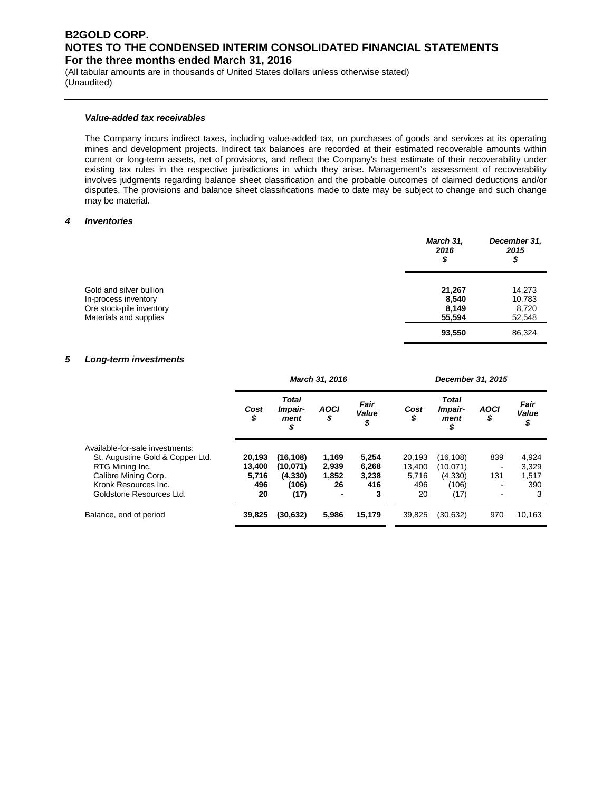(All tabular amounts are in thousands of United States dollars unless otherwise stated) (Unaudited)

#### *Value-added tax receivables*

The Company incurs indirect taxes, including value-added tax, on purchases of goods and services at its operating mines and development projects. Indirect tax balances are recorded at their estimated recoverable amounts within current or long-term assets, net of provisions, and reflect the Company's best estimate of their recoverability under existing tax rules in the respective jurisdictions in which they arise. Management's assessment of recoverability involves judgments regarding balance sheet classification and the probable outcomes of claimed deductions and/or disputes. The provisions and balance sheet classifications made to date may be subject to change and such change may be material.

#### *4 Inventories*

|                                                                                                       | March 31,<br>2016<br>\$            | December 31,<br>2015<br>\$          |
|-------------------------------------------------------------------------------------------------------|------------------------------------|-------------------------------------|
| Gold and silver bullion<br>In-process inventory<br>Ore stock-pile inventory<br>Materials and supplies | 21,267<br>8,540<br>8,149<br>55,594 | 14,273<br>10,783<br>8,720<br>52,548 |
|                                                                                                       | 93,550                             | 86,324                              |

#### *5 Long-term investments*

|                                  | March 31, 2016 |                                       |                   |                     |            | December 31, 2015                     |                   |                     |
|----------------------------------|----------------|---------------------------------------|-------------------|---------------------|------------|---------------------------------------|-------------------|---------------------|
|                                  | Cost<br>\$     | <b>Total</b><br>Impair-<br>ment<br>\$ | <b>AOCI</b><br>\$ | Fair<br>Value<br>\$ | Cost<br>\$ | <b>Total</b><br>Impair-<br>ment<br>\$ | <b>AOCI</b><br>\$ | Fair<br>Value<br>\$ |
| Available-for-sale investments:  |                |                                       |                   |                     |            |                                       |                   |                     |
| St. Augustine Gold & Copper Ltd. | 20.193         | (16,108)                              | 1,169             | 5.254               | 20.193     | (16,108)                              | 839               | 4,924               |
| RTG Mining Inc.                  | 13,400         | (10,071)                              | 2,939             | 6,268               | 13,400     | (10,071)                              |                   | 3,329               |
| Calibre Mining Corp.             | 5,716          | (4, 330)                              | 1,852             | 3,238               | 5.716      | (4,330)                               | 131               | 1,517               |
| Kronk Resources Inc.             | 496            | (106)                                 | 26                | 416                 | 496        | (106)                                 | ۰                 | 390                 |
| Goldstone Resources Ltd.         | 20             | (17)                                  |                   | 3                   | 20         | (17)                                  | ۰                 | 3                   |
| Balance, end of period           | 39,825         | (30,632)                              | 5,986             | 15,179              | 39,825     | (30, 632)                             | 970               | 10,163              |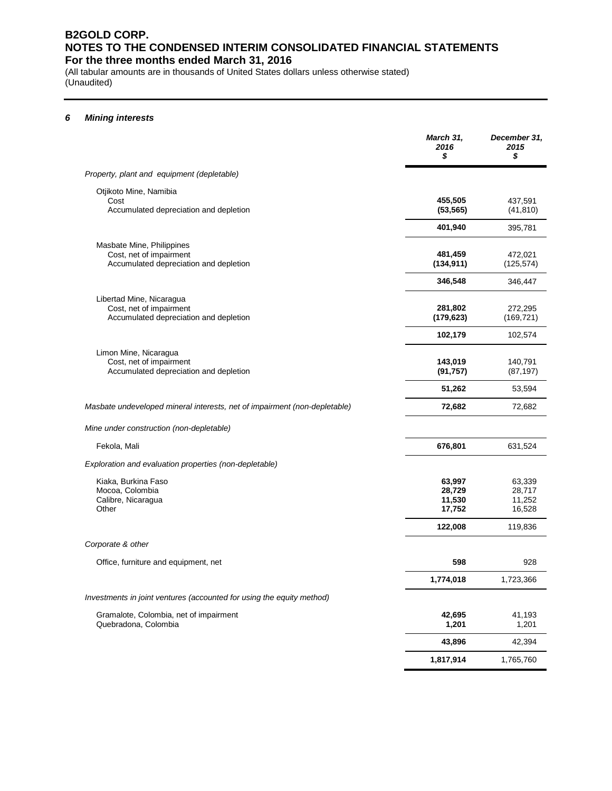(All tabular amounts are in thousands of United States dollars unless otherwise stated) (Unaudited)

#### *6 Mining interests*

|                                                                                                | March 31,<br>2016<br>\$              | December 31,<br>2015<br>\$           |
|------------------------------------------------------------------------------------------------|--------------------------------------|--------------------------------------|
| Property, plant and equipment (depletable)                                                     |                                      |                                      |
| Otjikoto Mine, Namibia<br>Cost<br>Accumulated depreciation and depletion                       | 455,505<br>(53, 565)                 | 437,591<br>(41, 810)                 |
|                                                                                                | 401,940                              | 395,781                              |
| Masbate Mine, Philippines<br>Cost, net of impairment<br>Accumulated depreciation and depletion | 481,459<br>(134, 911)                | 472,021<br>(125, 574)                |
|                                                                                                | 346,548                              | 346,447                              |
| Libertad Mine, Nicaragua<br>Cost, net of impairment<br>Accumulated depreciation and depletion  | 281,802<br>(179, 623)                | 272,295<br>(169, 721)                |
|                                                                                                | 102,179                              | 102,574                              |
| Limon Mine, Nicaragua<br>Cost, net of impairment<br>Accumulated depreciation and depletion     | 143,019<br>(91, 757)                 | 140,791<br>(87, 197)                 |
|                                                                                                | 51,262                               | 53,594                               |
| Masbate undeveloped mineral interests, net of impairment (non-depletable)                      | 72,682                               | 72,682                               |
| Mine under construction (non-depletable)                                                       |                                      |                                      |
| Fekola, Mali                                                                                   | 676,801                              | 631,524                              |
| Exploration and evaluation properties (non-depletable)                                         |                                      |                                      |
| Kiaka, Burkina Faso<br>Mocoa, Colombia<br>Calibre, Nicaragua<br>Other                          | 63,997<br>28,729<br>11,530<br>17,752 | 63,339<br>28,717<br>11,252<br>16,528 |
|                                                                                                | 122,008                              | 119,836                              |
| Corporate & other                                                                              |                                      |                                      |
| Office, furniture and equipment, net                                                           | 598                                  | 928                                  |
|                                                                                                | 1,774,018                            | 1,723,366                            |
| Investments in joint ventures (accounted for using the equity method)                          |                                      |                                      |
| Gramalote, Colombia, net of impairment<br>Quebradona, Colombia                                 | 42,695<br>1,201                      | 41,193<br>1,201                      |
|                                                                                                | 43,896                               | 42,394                               |
|                                                                                                | 1,817,914                            | 1,765,760                            |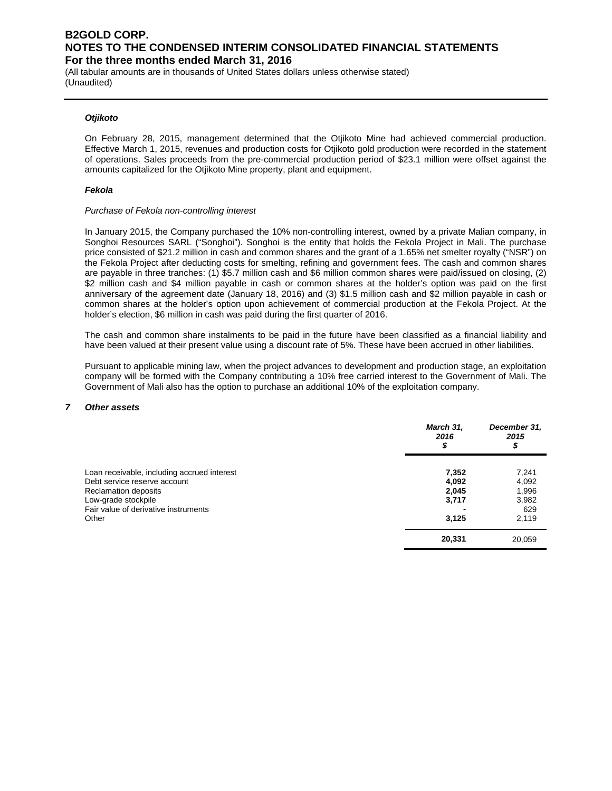(All tabular amounts are in thousands of United States dollars unless otherwise stated) (Unaudited)

#### *Otjikoto*

On February 28, 2015, management determined that the Otjikoto Mine had achieved commercial production. Effective March 1, 2015, revenues and production costs for Otjikoto gold production were recorded in the statement of operations. Sales proceeds from the pre-commercial production period of \$23.1 million were offset against the amounts capitalized for the Otjikoto Mine property, plant and equipment.

#### *Fekola*

#### *Purchase of Fekola non-controlling interest*

In January 2015, the Company purchased the 10% non-controlling interest, owned by a private Malian company, in Songhoi Resources SARL ("Songhoi"). Songhoi is the entity that holds the Fekola Project in Mali. The purchase price consisted of \$21.2 million in cash and common shares and the grant of a 1.65% net smelter royalty ("NSR") on the Fekola Project after deducting costs for smelting, refining and government fees. The cash and common shares are payable in three tranches: (1) \$5.7 million cash and \$6 million common shares were paid/issued on closing, (2) \$2 million cash and \$4 million payable in cash or common shares at the holder's option was paid on the first anniversary of the agreement date (January 18, 2016) and (3) \$1.5 million cash and \$2 million payable in cash or common shares at the holder's option upon achievement of commercial production at the Fekola Project. At the holder's election, \$6 million in cash was paid during the first quarter of 2016.

The cash and common share instalments to be paid in the future have been classified as a financial liability and have been valued at their present value using a discount rate of 5%. These have been accrued in other liabilities.

Pursuant to applicable mining law, when the project advances to development and production stage, an exploitation company will be formed with the Company contributing a 10% free carried interest to the Government of Mali. The Government of Mali also has the option to purchase an additional 10% of the exploitation company.

#### *7 Other assets*

|                                                                                                                                                                             | March 31,<br>2016<br>\$                   | December 31,<br>2015<br>\$                       |
|-----------------------------------------------------------------------------------------------------------------------------------------------------------------------------|-------------------------------------------|--------------------------------------------------|
| Loan receivable, including accrued interest<br>Debt service reserve account<br>Reclamation deposits<br>Low-grade stockpile<br>Fair value of derivative instruments<br>Other | 7,352<br>4,092<br>2,045<br>3,717<br>3,125 | 7,241<br>4,092<br>1,996<br>3,982<br>629<br>2,119 |
|                                                                                                                                                                             | 20,331                                    | 20,059                                           |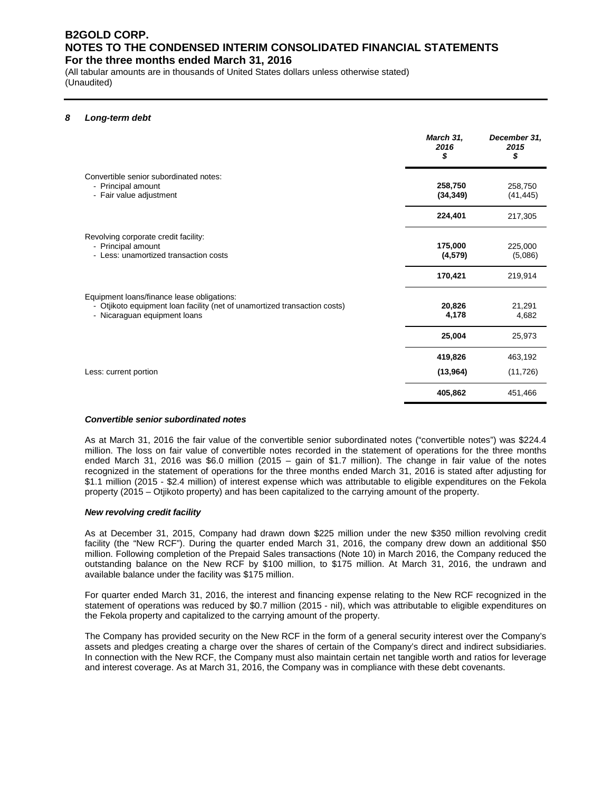(All tabular amounts are in thousands of United States dollars unless otherwise stated) (Unaudited)

#### *8 Long-term debt*

|                                                                                                                                                         | March 31,<br>2016<br>\$ | December 31,<br>2015<br>\$ |
|---------------------------------------------------------------------------------------------------------------------------------------------------------|-------------------------|----------------------------|
| Convertible senior subordinated notes:<br>- Principal amount<br>- Fair value adjustment                                                                 | 258,750<br>(34, 349)    | 258,750<br>(41, 445)       |
|                                                                                                                                                         | 224,401                 | 217,305                    |
| Revolving corporate credit facility:<br>- Principal amount<br>- Less: unamortized transaction costs                                                     | 175,000<br>(4, 579)     | 225,000<br>(5,086)         |
|                                                                                                                                                         | 170,421                 | 219,914                    |
| Equipment loans/finance lease obligations:<br>- Otjikoto equipment loan facility (net of unamortized transaction costs)<br>- Nicaraguan equipment loans | 20,826<br>4,178         | 21,291<br>4,682            |
|                                                                                                                                                         | 25,004                  | 25,973                     |
|                                                                                                                                                         | 419,826                 | 463,192                    |
| Less: current portion                                                                                                                                   | (13,964)                | (11, 726)                  |
|                                                                                                                                                         | 405,862                 | 451,466                    |

#### *Convertible senior subordinated notes*

As at March 31, 2016 the fair value of the convertible senior subordinated notes ("convertible notes") was \$224.4 million. The loss on fair value of convertible notes recorded in the statement of operations for the three months ended March 31, 2016 was \$6.0 million (2015 – gain of \$1.7 million). The change in fair value of the notes recognized in the statement of operations for the three months ended March 31, 2016 is stated after adjusting for \$1.1 million (2015 - \$2.4 million) of interest expense which was attributable to eligible expenditures on the Fekola property (2015 – Otjikoto property) and has been capitalized to the carrying amount of the property.

#### *New revolving credit facility*

As at December 31, 2015, Company had drawn down \$225 million under the new \$350 million revolving credit facility (the "New RCF"). During the quarter ended March 31, 2016, the company drew down an additional \$50 million. Following completion of the Prepaid Sales transactions (Note 10) in March 2016, the Company reduced the outstanding balance on the New RCF by \$100 million, to \$175 million. At March 31, 2016, the undrawn and available balance under the facility was \$175 million.

For quarter ended March 31, 2016, the interest and financing expense relating to the New RCF recognized in the statement of operations was reduced by \$0.7 million (2015 - nil), which was attributable to eligible expenditures on the Fekola property and capitalized to the carrying amount of the property.

The Company has provided security on the New RCF in the form of a general security interest over the Company's assets and pledges creating a charge over the shares of certain of the Company's direct and indirect subsidiaries. In connection with the New RCF, the Company must also maintain certain net tangible worth and ratios for leverage and interest coverage. As at March 31, 2016, the Company was in compliance with these debt covenants.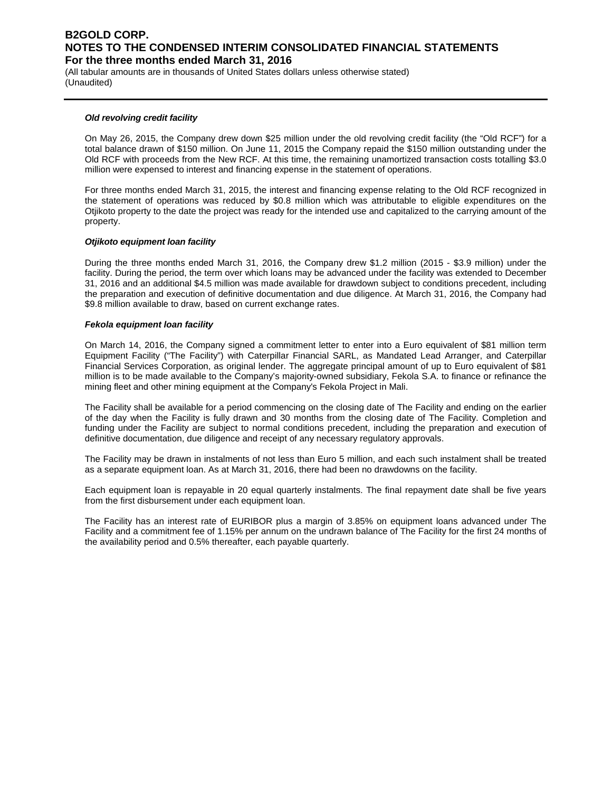(All tabular amounts are in thousands of United States dollars unless otherwise stated) (Unaudited)

#### *Old revolving credit facility*

On May 26, 2015, the Company drew down \$25 million under the old revolving credit facility (the "Old RCF") for a total balance drawn of \$150 million. On June 11, 2015 the Company repaid the \$150 million outstanding under the Old RCF with proceeds from the New RCF. At this time, the remaining unamortized transaction costs totalling \$3.0 million were expensed to interest and financing expense in the statement of operations.

For three months ended March 31, 2015, the interest and financing expense relating to the Old RCF recognized in the statement of operations was reduced by \$0.8 million which was attributable to eligible expenditures on the Otjikoto property to the date the project was ready for the intended use and capitalized to the carrying amount of the property.

#### *Otjikoto equipment loan facility*

During the three months ended March 31, 2016, the Company drew \$1.2 million (2015 - \$3.9 million) under the facility. During the period, the term over which loans may be advanced under the facility was extended to December 31, 2016 and an additional \$4.5 million was made available for drawdown subject to conditions precedent, including the preparation and execution of definitive documentation and due diligence. At March 31, 2016, the Company had \$9.8 million available to draw, based on current exchange rates.

#### *Fekola equipment loan facility*

On March 14, 2016, the Company signed a commitment letter to enter into a Euro equivalent of \$81 million term Equipment Facility ("The Facility") with Caterpillar Financial SARL, as Mandated Lead Arranger, and Caterpillar Financial Services Corporation, as original lender. The aggregate principal amount of up to Euro equivalent of \$81 million is to be made available to the Company's majority-owned subsidiary, Fekola S.A. to finance or refinance the mining fleet and other mining equipment at the Company's Fekola Project in Mali.

The Facility shall be available for a period commencing on the closing date of The Facility and ending on the earlier of the day when the Facility is fully drawn and 30 months from the closing date of The Facility. Completion and funding under the Facility are subject to normal conditions precedent, including the preparation and execution of definitive documentation, due diligence and receipt of any necessary regulatory approvals.

The Facility may be drawn in instalments of not less than Euro 5 million, and each such instalment shall be treated as a separate equipment loan. As at March 31, 2016, there had been no drawdowns on the facility.

Each equipment loan is repayable in 20 equal quarterly instalments. The final repayment date shall be five years from the first disbursement under each equipment loan.

The Facility has an interest rate of EURIBOR plus a margin of 3.85% on equipment loans advanced under The Facility and a commitment fee of 1.15% per annum on the undrawn balance of The Facility for the first 24 months of the availability period and 0.5% thereafter, each payable quarterly.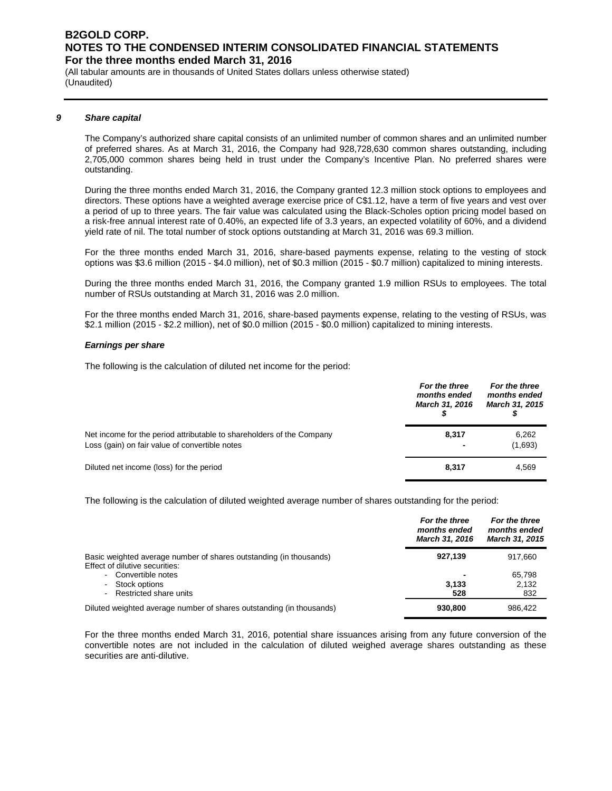(All tabular amounts are in thousands of United States dollars unless otherwise stated) (Unaudited)

#### *9 Share capital*

The Company's authorized share capital consists of an unlimited number of common shares and an unlimited number of preferred shares. As at March 31, 2016, the Company had 928,728,630 common shares outstanding, including 2,705,000 common shares being held in trust under the Company's Incentive Plan. No preferred shares were outstanding.

During the three months ended March 31, 2016, the Company granted 12.3 million stock options to employees and directors. These options have a weighted average exercise price of C\$1.12, have a term of five years and vest over a period of up to three years. The fair value was calculated using the Black-Scholes option pricing model based on a risk-free annual interest rate of 0.40%, an expected life of 3.3 years, an expected volatility of 60%, and a dividend yield rate of nil. The total number of stock options outstanding at March 31, 2016 was 69.3 million.

For the three months ended March 31, 2016, share-based payments expense, relating to the vesting of stock options was \$3.6 million (2015 - \$4.0 million), net of \$0.3 million (2015 - \$0.7 million) capitalized to mining interests.

During the three months ended March 31, 2016, the Company granted 1.9 million RSUs to employees. The total number of RSUs outstanding at March 31, 2016 was 2.0 million.

For the three months ended March 31, 2016, share-based payments expense, relating to the vesting of RSUs, was \$2.1 million (2015 - \$2.2 million), net of \$0.0 million (2015 - \$0.0 million) capitalized to mining interests.

#### *Earnings per share*

The following is the calculation of diluted net income for the period:

|                                                                                                                         | For the three<br>months ended<br>March 31, 2016 | For the three<br>months ended<br><b>March 31, 2015</b> |
|-------------------------------------------------------------------------------------------------------------------------|-------------------------------------------------|--------------------------------------------------------|
| Net income for the period attributable to shareholders of the Company<br>Loss (gain) on fair value of convertible notes | 8,317                                           | 6,262<br>(1,693)                                       |
| Diluted net income (loss) for the period                                                                                | 8,317                                           | 4,569                                                  |

The following is the calculation of diluted weighted average number of shares outstanding for the period:

|                                                                                                      | For the three<br>months ended<br>March 31, 2016 | For the three<br>months ended<br><b>March 31, 2015</b> |
|------------------------------------------------------------------------------------------------------|-------------------------------------------------|--------------------------------------------------------|
| Basic weighted average number of shares outstanding (in thousands)<br>Effect of dilutive securities: | 927.139                                         | 917.660                                                |
| - Convertible notes                                                                                  |                                                 | 65.798                                                 |
| - Stock options                                                                                      | 3,133                                           | 2,132                                                  |
| - Restricted share units                                                                             | 528                                             | 832                                                    |
| Diluted weighted average number of shares outstanding (in thousands)                                 | 930,800                                         | 986,422                                                |

For the three months ended March 31, 2016, potential share issuances arising from any future conversion of the convertible notes are not included in the calculation of diluted weighed average shares outstanding as these securities are anti-dilutive.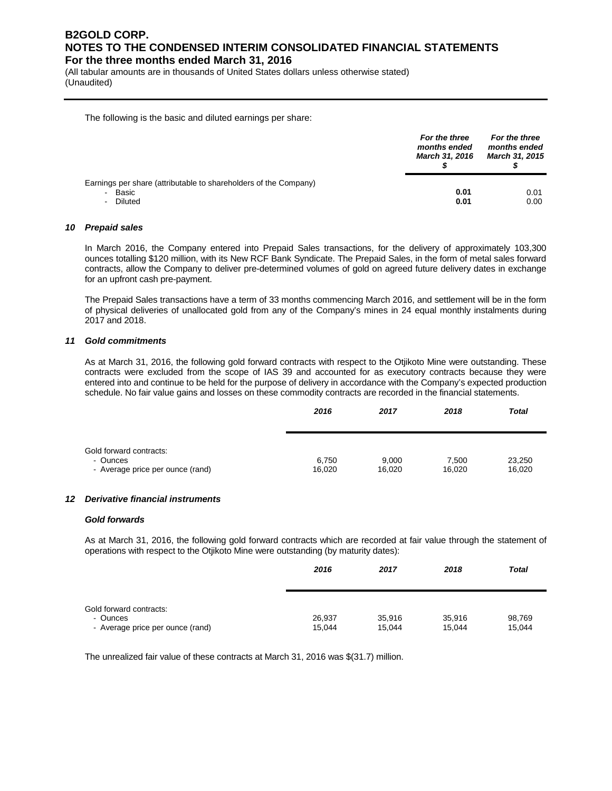(All tabular amounts are in thousands of United States dollars unless otherwise stated) (Unaudited)

The following is the basic and diluted earnings per share:

|                                                                                          | For the three<br>months ended<br><b>March 31, 2016</b> | For the three<br>months ended<br><b>March 31, 2015</b> |
|------------------------------------------------------------------------------------------|--------------------------------------------------------|--------------------------------------------------------|
| Earnings per share (attributable to shareholders of the Company)<br>- Basic<br>- Diluted | 0.01<br>0.01                                           | 0.01<br>0.00                                           |

#### *10 Prepaid sales*

In March 2016, the Company entered into Prepaid Sales transactions, for the delivery of approximately 103,300 ounces totalling \$120 million, with its New RCF Bank Syndicate. The Prepaid Sales, in the form of metal sales forward contracts, allow the Company to deliver pre-determined volumes of gold on agreed future delivery dates in exchange for an upfront cash pre-payment.

The Prepaid Sales transactions have a term of 33 months commencing March 2016, and settlement will be in the form of physical deliveries of unallocated gold from any of the Company's mines in 24 equal monthly instalments during 2017 and 2018.

#### *11 Gold commitments*

As at March 31, 2016, the following gold forward contracts with respect to the Otjikoto Mine were outstanding. These contracts were excluded from the scope of IAS 39 and accounted for as executory contracts because they were entered into and continue to be held for the purpose of delivery in accordance with the Company's expected production schedule. No fair value gains and losses on these commodity contracts are recorded in the financial statements.

|                                  | 2016   | 2017   | 2018   | <b>Total</b> |
|----------------------------------|--------|--------|--------|--------------|
| Gold forward contracts:          |        |        |        |              |
| - Ounces                         | 6,750  | 9,000  | 7,500  | 23,250       |
| - Average price per ounce (rand) | 16,020 | 16.020 | 16,020 | 16,020       |

#### *12 Derivative financial instruments*

#### *Gold forwards*

As at March 31, 2016, the following gold forward contracts which are recorded at fair value through the statement of operations with respect to the Otjikoto Mine were outstanding (by maturity dates):

|                                                                         | 2016             | 2017             | 2018             | <b>Total</b>     |
|-------------------------------------------------------------------------|------------------|------------------|------------------|------------------|
| Gold forward contracts:<br>- Ounces<br>- Average price per ounce (rand) | 26,937<br>15,044 | 35,916<br>15,044 | 35,916<br>15.044 | 98,769<br>15,044 |

The unrealized fair value of these contracts at March 31, 2016 was \$(31.7) million.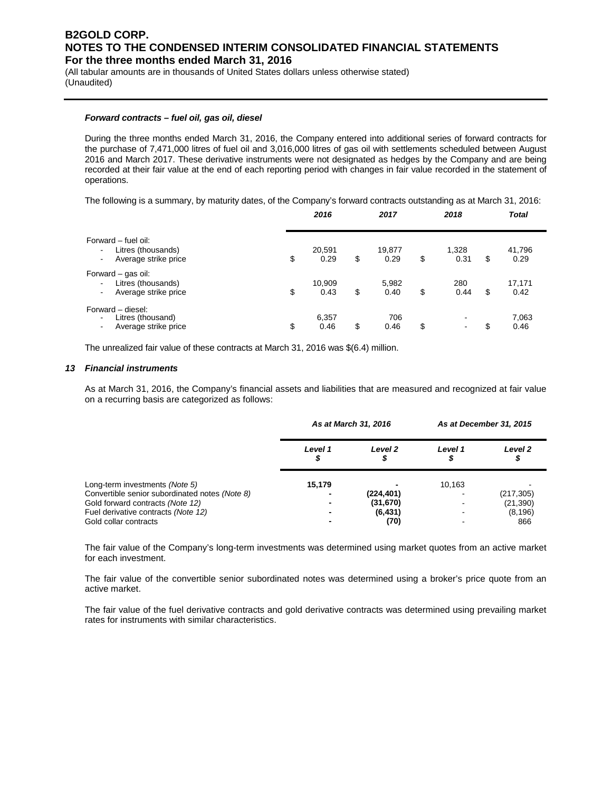(All tabular amounts are in thousands of United States dollars unless otherwise stated) (Unaudited)

#### *Forward contracts – fuel oil, gas oil, diesel*

During the three months ended March 31, 2016, the Company entered into additional series of forward contracts for the purchase of 7,471,000 litres of fuel oil and 3,016,000 litres of gas oil with settlements scheduled between August 2016 and March 2017. These derivative instruments were not designated as hedges by the Company and are being recorded at their fair value at the end of each reporting period with changes in fair value recorded in the statement of operations.

The following is a summary, by maturity dates, of the Company's forward contracts outstanding as at March 31, 2016:

|                                                                                                                        | 2016                 | 2017                 | 2018                |    | <b>Total</b>   |  |
|------------------------------------------------------------------------------------------------------------------------|----------------------|----------------------|---------------------|----|----------------|--|
| Forward – fuel oil:<br>Litres (thousands)<br>$\blacksquare$<br>Average strike price<br>$\qquad \qquad \blacksquare$    | \$<br>20,591<br>0.29 | \$<br>19,877<br>0.29 | \$<br>1,328<br>0.31 | S  | 41,796<br>0.29 |  |
| Forward - gas oil:<br>Litres (thousands)<br>$\blacksquare$<br>Average strike price<br>$\overline{\phantom{a}}$         | \$<br>10,909<br>0.43 | \$<br>5,982<br>0.40  | \$<br>280<br>0.44   | \$ | 17,171<br>0.42 |  |
| Forward - diesel:<br>Litres (thousand)<br>$\overline{\phantom{a}}$<br>Average strike price<br>$\overline{\phantom{a}}$ | \$<br>6,357<br>0.46  | \$<br>706<br>0.46    | \$                  | \$ | 7,063<br>0.46  |  |

The unrealized fair value of these contracts at March 31, 2016 was \$(6.4) million.

#### *13 Financial instruments*

As at March 31, 2016, the Company's financial assets and liabilities that are measured and recognized at fair value on a recurring basis are categorized as follows:

|                                                | As at March 31, 2016 |              | As at December 31, 2015 |              |
|------------------------------------------------|----------------------|--------------|-------------------------|--------------|
|                                                | Level 1              | Level 2<br>ዏ | Level 1                 | Level 2<br>ዏ |
| Long-term investments (Note 5)                 | 15.179               |              | 10.163                  |              |
| Convertible senior subordinated notes (Note 8) |                      | (224,401)    |                         | (217, 305)   |
| Gold forward contracts (Note 12)               |                      | (31, 670)    |                         | (21, 390)    |
| Fuel derivative contracts (Note 12)            |                      | (6, 431)     |                         | (8, 196)     |
| Gold collar contracts                          |                      | (70)         |                         | 866          |

The fair value of the Company's long-term investments was determined using market quotes from an active market for each investment.

The fair value of the convertible senior subordinated notes was determined using a broker's price quote from an active market.

The fair value of the fuel derivative contracts and gold derivative contracts was determined using prevailing market rates for instruments with similar characteristics.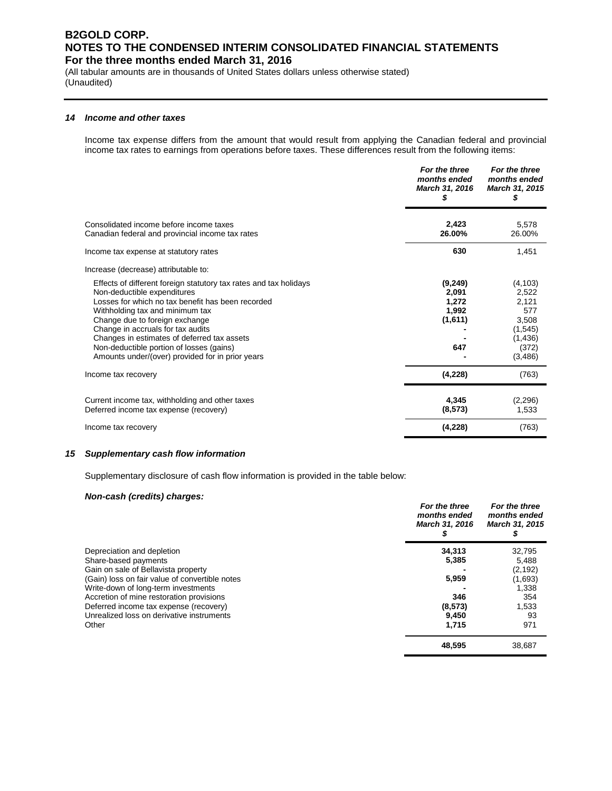(All tabular amounts are in thousands of United States dollars unless otherwise stated) (Unaudited)

#### *14 Income and other taxes*

Income tax expense differs from the amount that would result from applying the Canadian federal and provincial income tax rates to earnings from operations before taxes. These differences result from the following items:

|                                                                                                                                                                                                                                                                                                                                                                                                                | For the three<br>months ended<br>March 31, 2016       | For the three<br>months ended<br>March 31, 2015<br>S                                    |
|----------------------------------------------------------------------------------------------------------------------------------------------------------------------------------------------------------------------------------------------------------------------------------------------------------------------------------------------------------------------------------------------------------------|-------------------------------------------------------|-----------------------------------------------------------------------------------------|
| Consolidated income before income taxes<br>Canadian federal and provincial income tax rates                                                                                                                                                                                                                                                                                                                    | 2.423<br>26.00%                                       | 5.578<br>26.00%                                                                         |
| Income tax expense at statutory rates                                                                                                                                                                                                                                                                                                                                                                          | 630                                                   | 1,451                                                                                   |
| Increase (decrease) attributable to:                                                                                                                                                                                                                                                                                                                                                                           |                                                       |                                                                                         |
| Effects of different foreign statutory tax rates and tax holidays<br>Non-deductible expenditures<br>Losses for which no tax benefit has been recorded<br>Withholding tax and minimum tax<br>Change due to foreign exchange<br>Change in accruals for tax audits<br>Changes in estimates of deferred tax assets<br>Non-deductible portion of losses (gains)<br>Amounts under/(over) provided for in prior years | (9, 249)<br>2,091<br>1,272<br>1,992<br>(1,611)<br>647 | (4, 103)<br>2,522<br>2,121<br>577<br>3,508<br>(1, 545)<br>(1, 436)<br>(372)<br>(3, 486) |
| Income tax recovery                                                                                                                                                                                                                                                                                                                                                                                            | (4,228)                                               | (763)                                                                                   |
| Current income tax, withholding and other taxes<br>Deferred income tax expense (recovery)                                                                                                                                                                                                                                                                                                                      | 4,345<br>(8, 573)                                     | (2, 296)<br>1,533                                                                       |
| Income tax recovery                                                                                                                                                                                                                                                                                                                                                                                            | (4,228)                                               | (763)                                                                                   |

#### *15 Supplementary cash flow information*

Supplementary disclosure of cash flow information is provided in the table below:

#### *Non-cash (credits) charges:*

|                                                | For the three<br>months ended<br>March 31, 2016 | For the three<br>months ended<br>March 31, 2015 |
|------------------------------------------------|-------------------------------------------------|-------------------------------------------------|
| Depreciation and depletion                     | 34,313                                          | 32,795                                          |
| Share-based payments                           | 5,385                                           | 5,488                                           |
| Gain on sale of Bellavista property            |                                                 | (2, 192)                                        |
| (Gain) loss on fair value of convertible notes | 5,959                                           | (1,693)                                         |
| Write-down of long-term investments            |                                                 | 1,338                                           |
| Accretion of mine restoration provisions       | 346                                             | 354                                             |
| Deferred income tax expense (recovery)         | (8,573)                                         | 1,533                                           |
| Unrealized loss on derivative instruments      | 9,450                                           | 93                                              |
| Other                                          | 1.715                                           | 971                                             |
|                                                | 48.595                                          | 38.687                                          |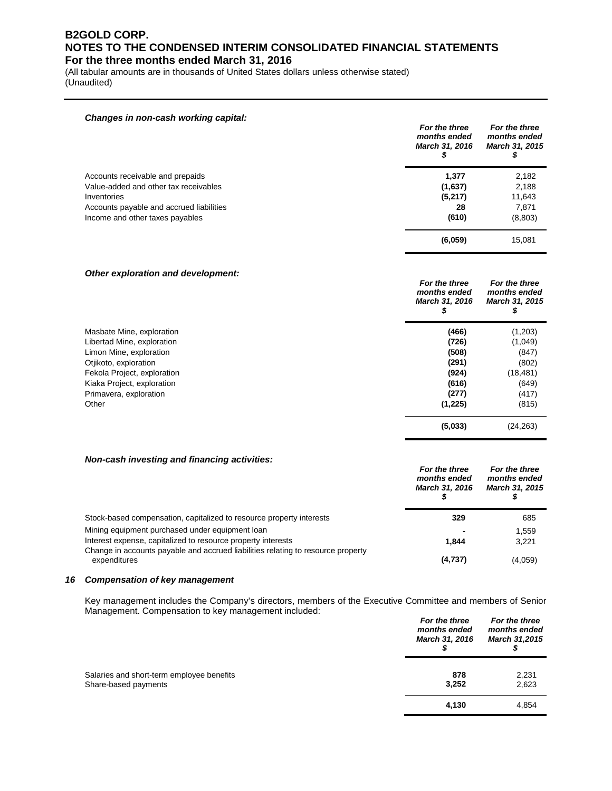(All tabular amounts are in thousands of United States dollars unless otherwise stated) (Unaudited)

#### *Changes in non-cash working capital:*

|                                          | For the three<br>months ended<br><b>March 31, 2016</b> | For the three<br>months ended<br><b>March 31, 2015</b> |
|------------------------------------------|--------------------------------------------------------|--------------------------------------------------------|
| Accounts receivable and prepaids         | 1,377                                                  | 2,182                                                  |
| Value-added and other tax receivables    | (1,637)                                                | 2,188                                                  |
| Inventories                              | (5,217)                                                | 11,643                                                 |
| Accounts payable and accrued liabilities | 28                                                     | 7,871                                                  |
| Income and other taxes payables          | (610)                                                  | (8,803)                                                |
|                                          | (6,059)                                                | 15,081                                                 |

#### *Other exploration and development:*

| For the three<br>months ended<br>March 31, 2016 | For the three<br>months ended<br>March 31, 2015 |
|-------------------------------------------------|-------------------------------------------------|
| (466)                                           | (1,203)                                         |
| (726)                                           | (1,049)                                         |
| (508)                                           | (847)                                           |
| (291)                                           | (802)                                           |
| (924)                                           | (18, 481)                                       |
| (616)                                           | (649)                                           |
| (277)                                           | (417)                                           |
| (1,225)                                         | (815)                                           |
| (5,033)                                         | (24, 263)                                       |
|                                                 |                                                 |

#### *Non-cash investing and financing activities:*

|                                                                                                  | For the three<br>months ended<br><b>March 31, 2016</b> | For the three<br>months ended<br><b>March 31, 2015</b> |
|--------------------------------------------------------------------------------------------------|--------------------------------------------------------|--------------------------------------------------------|
| Stock-based compensation, capitalized to resource property interests                             | 329                                                    | 685                                                    |
| Mining equipment purchased under equipment loan                                                  |                                                        | 1.559                                                  |
| Interest expense, capitalized to resource property interests                                     | 1.844                                                  | 3,221                                                  |
| Change in accounts payable and accrued liabilities relating to resource property<br>expenditures | (4,737)                                                | (4,059)                                                |

#### *16 Compensation of key management*

Key management includes the Company's directors, members of the Executive Committee and members of Senior Management. Compensation to key management included: *For the three For the three* 

|                                                                   | For the three<br>months ended<br><b>March 31, 2016</b> | For the three<br>months ended<br><b>March 31,2015</b> |
|-------------------------------------------------------------------|--------------------------------------------------------|-------------------------------------------------------|
| Salaries and short-term employee benefits<br>Share-based payments | 878<br>3,252                                           | 2,231<br>2,623                                        |
|                                                                   | 4,130                                                  | 4,854                                                 |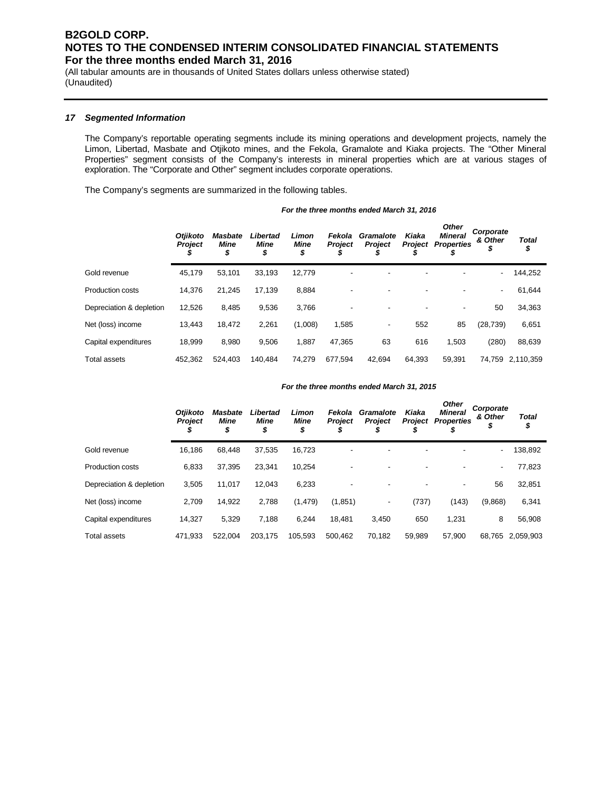(All tabular amounts are in thousands of United States dollars unless otherwise stated) (Unaudited)

#### *17 Segmented Information*

The Company's reportable operating segments include its mining operations and development projects, namely the Limon, Libertad, Masbate and Otjikoto mines, and the Fekola, Gramalote and Kiaka projects. The "Other Mineral Properties" segment consists of the Company's interests in mineral properties which are at various stages of exploration. The "Corporate and Other" segment includes corporate operations.

The Company's segments are summarized in the following tables.

*For the three months ended March 31, 2016*

|                          | <b>Otiikoto</b><br><b>Project</b> | <b>Masbate</b><br><b>Mine</b><br>\$ | Libertad<br>Mine<br>\$ | Limon<br><b>Mine</b><br>\$ | Fekola<br><b>Project</b><br>D | Gramalote<br><b>Project</b> | Kiaka<br><b>Project</b><br>ъ | <b>Other</b><br><b>Mineral</b><br><b>Properties</b> | Corporate<br>& Other<br>\$ | <b>Total</b><br>\$ |
|--------------------------|-----------------------------------|-------------------------------------|------------------------|----------------------------|-------------------------------|-----------------------------|------------------------------|-----------------------------------------------------|----------------------------|--------------------|
| Gold revenue             | 45,179                            | 53,101                              | 33,193                 | 12,779                     | -                             | ۰                           | -                            |                                                     | $\blacksquare$             | 144,252            |
| <b>Production costs</b>  | 14,376                            | 21,245                              | 17.139                 | 8,884                      |                               | ۰                           | -                            | ٠                                                   | $\overline{\phantom{a}}$   | 61,644             |
| Depreciation & depletion | 12,526                            | 8,485                               | 9,536                  | 3,766                      |                               |                             |                              | $\overline{\phantom{a}}$                            | 50                         | 34,363             |
| Net (loss) income        | 13,443                            | 18,472                              | 2,261                  | (1,008)                    | 1,585                         | ۰                           | 552                          | 85                                                  | (28, 739)                  | 6,651              |
| Capital expenditures     | 18,999                            | 8.980                               | 9.506                  | 1,887                      | 47,365                        | 63                          | 616                          | 1,503                                               | (280)                      | 88,639             |
| Total assets             | 452,362                           | 524.403                             | 140.484                | 74.279                     | 677,594                       | 42.694                      | 64.393                       | 59,391                                              | 74.759                     | 2.110.359          |

#### *For the three months ended March 31, 2015*

|                          | <b>Otjikoto</b><br><b>Project</b> | <b>Masbate</b><br>Mine<br>\$ | Libertad<br>Mine<br>\$ | Limon<br>Mine<br>\$ | Fekola<br>Project | Gramalote<br><b>Project</b> | Kiaka<br>Project | <b>Other</b><br><b>Mineral</b><br><b>Properties</b> | Corporate<br>& Other<br>\$ | <b>Total</b><br>\$ |
|--------------------------|-----------------------------------|------------------------------|------------------------|---------------------|-------------------|-----------------------------|------------------|-----------------------------------------------------|----------------------------|--------------------|
| Gold revenue             | 16,186                            | 68.448                       | 37,535                 | 16,723              | ٠                 | ٠                           |                  |                                                     |                            | 138,892            |
| <b>Production costs</b>  | 6,833                             | 37.395                       | 23.341                 | 10.254              |                   |                             |                  |                                                     | $\sim$                     | 77,823             |
| Depreciation & depletion | 3,505                             | 11,017                       | 12.043                 | 6,233               |                   |                             |                  |                                                     | 56                         | 32,851             |
| Net (loss) income        | 2,709                             | 14,922                       | 2,788                  | (1, 479)            | (1,851)           | ٠                           | (737)            | (143)                                               | (9,868)                    | 6,341              |
| Capital expenditures     | 14,327                            | 5,329                        | 7,188                  | 6,244               | 18,481            | 3,450                       | 650              | 1,231                                               | 8                          | 56,908             |
| <b>Total assets</b>      | 471.933                           | 522.004                      | 203.175                | 105.593             | 500.462           | 70.182                      | 59.989           | 57.900                                              |                            | 68.765 2.059.903   |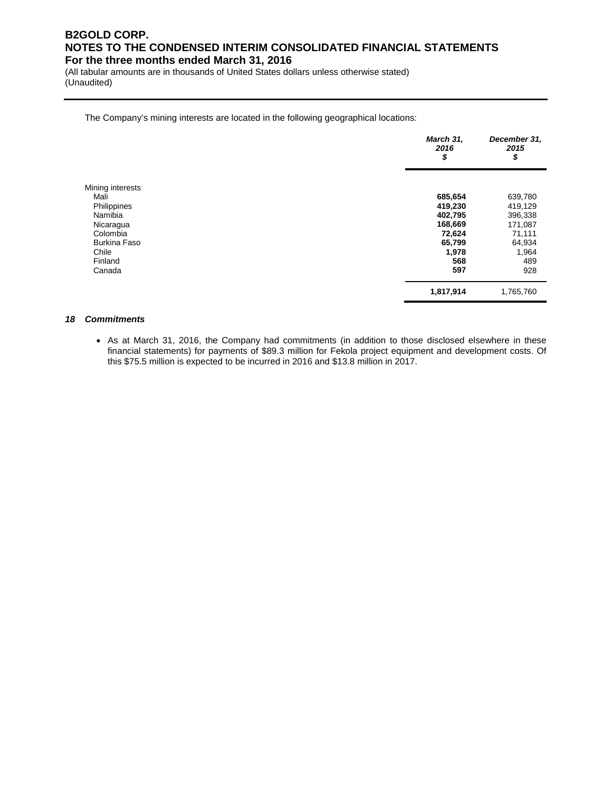(All tabular amounts are in thousands of United States dollars unless otherwise stated) (Unaudited)

The Company's mining interests are located in the following geographical locations:

|                     | March 31,<br>2016<br>\$ | December 31,<br>2015<br>\$ |
|---------------------|-------------------------|----------------------------|
| Mining interests    |                         |                            |
| Mali                | 685,654                 | 639,780                    |
| Philippines         | 419,230                 | 419,129                    |
| Namibia             | 402,795                 | 396,338                    |
| Nicaragua           | 168,669                 | 171,087                    |
| Colombia            | 72,624                  | 71,111                     |
| <b>Burkina Faso</b> | 65,799                  | 64,934                     |
| Chile               | 1,978                   | 1,964                      |
| Finland             | 568                     | 489                        |
| Canada              | 597                     | 928                        |
|                     | 1,817,914               | 1,765,760                  |

#### *18 Commitments*

• As at March 31, 2016, the Company had commitments (in addition to those disclosed elsewhere in these financial statements) for payments of \$89.3 million for Fekola project equipment and development costs. Of this \$75.5 million is expected to be incurred in 2016 and \$13.8 million in 2017.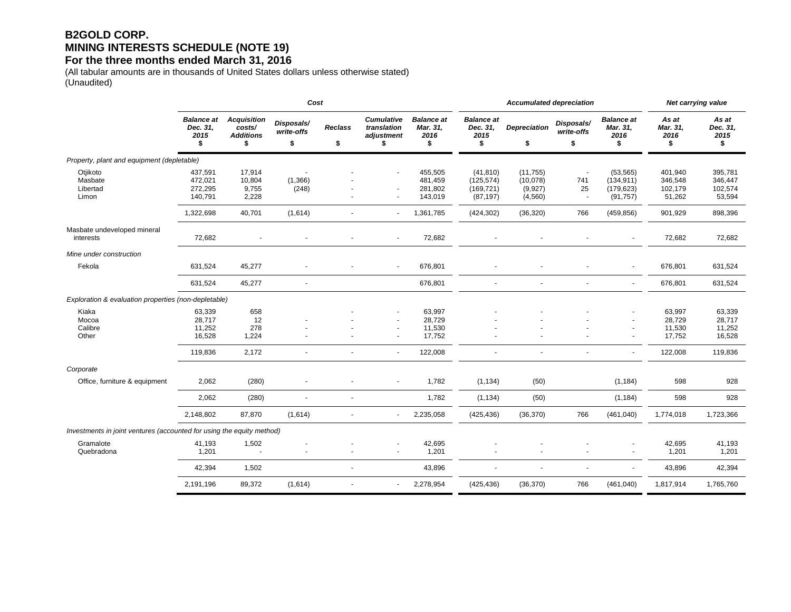## **B2GOLD CORP. MINING INTERESTS SCHEDULE (NOTE 19)**

#### **For the three months ended March 31, 2016**

(All tabular amounts are in thousands of United States dollars unless otherwise stated) (Unaudited)

|                                                                       |                                             |                                                        | Cost                           |                      |                                                              |                                             |                                                    | <b>Accumulated depreciation</b>             | Net carrying value             |                                                    |                                         |                                         |
|-----------------------------------------------------------------------|---------------------------------------------|--------------------------------------------------------|--------------------------------|----------------------|--------------------------------------------------------------|---------------------------------------------|----------------------------------------------------|---------------------------------------------|--------------------------------|----------------------------------------------------|-----------------------------------------|-----------------------------------------|
|                                                                       | <b>Balance at</b><br>Dec. 31,<br>2015<br>\$ | <b>Acquisition</b><br>costs/<br><b>Additions</b><br>\$ | Disposals/<br>write-offs<br>\$ | <b>Reclass</b><br>\$ | <b>Cumulative</b><br>translation<br>adjustment<br>\$         | <b>Balance at</b><br>Mar. 31,<br>2016<br>\$ | <b>Balance</b> at<br>Dec. 31,<br>2015<br>\$        | <b>Depreciation</b><br>\$                   | Disposals/<br>write-offs<br>\$ | <b>Balance at</b><br>Mar. 31.<br>2016<br>\$        | As at<br>Mar. 31,<br>2016<br>\$         | As at<br>Dec. 31,<br>2015<br>\$         |
| Property, plant and equipment (depletable)                            |                                             |                                                        |                                |                      |                                                              |                                             |                                                    |                                             |                                |                                                    |                                         |                                         |
| Otjikoto<br>Masbate<br>Libertad<br>Limon                              | 437,591<br>472,021<br>272,295<br>140,791    | 17,914<br>10,804<br>9,755<br>2,228                     | (1,366)<br>(248)               |                      | $\blacksquare$                                               | 455,505<br>481,459<br>281,802<br>143,019    | (41, 810)<br>(125, 574)<br>(169, 721)<br>(87, 197) | (11, 755)<br>(10,078)<br>(9,927)<br>(4,560) | 741<br>25<br>÷,                | (53, 565)<br>(134, 911)<br>(179, 623)<br>(91, 757) | 401,940<br>346,548<br>102,179<br>51,262 | 395,781<br>346,447<br>102,574<br>53,594 |
|                                                                       | 1,322,698                                   | 40,701                                                 | (1,614)                        | $\sim$               | $\blacksquare$                                               | 1,361,785                                   | (424, 302)                                         | (36, 320)                                   | 766                            | (459, 856)                                         | 901,929                                 | 898,396                                 |
| Masbate undeveloped mineral<br>interests                              | 72,682                                      |                                                        |                                |                      | $\blacksquare$                                               | 72,682                                      |                                                    |                                             |                                |                                                    | 72,682                                  | 72,682                                  |
| Mine under construction                                               |                                             |                                                        |                                |                      |                                                              |                                             |                                                    |                                             |                                |                                                    |                                         |                                         |
| Fekola                                                                | 631,524                                     | 45,277                                                 |                                |                      |                                                              | 676,801                                     |                                                    |                                             |                                |                                                    | 676,801                                 | 631,524                                 |
|                                                                       | 631,524                                     | 45,277                                                 | $\blacksquare$                 |                      |                                                              | 676,801                                     | $\ddot{\phantom{1}}$                               |                                             | $\blacksquare$                 | $\sim$                                             | 676,801                                 | 631,524                                 |
| Exploration & evaluation properties (non-depletable)                  |                                             |                                                        |                                |                      |                                                              |                                             |                                                    |                                             |                                |                                                    |                                         |                                         |
| Kiaka<br>Mocoa<br>Calibre<br>Other                                    | 63,339<br>28,717<br>11,252<br>16,528        | 658<br>12<br>278<br>1,224                              |                                |                      | $\overline{\phantom{a}}$<br>$\blacksquare$<br>$\blacksquare$ | 63,997<br>28,729<br>11,530<br>17,752        |                                                    |                                             |                                | $\overline{\phantom{a}}$                           | 63,997<br>28,729<br>11,530<br>17,752    | 63,339<br>28,717<br>11,252<br>16,528    |
|                                                                       | 119,836                                     | 2,172                                                  |                                |                      | $\sim$                                                       | 122,008                                     |                                                    |                                             |                                | $\sim$                                             | 122,008                                 | 119,836                                 |
| Corporate                                                             |                                             |                                                        |                                |                      |                                                              |                                             |                                                    |                                             |                                |                                                    |                                         |                                         |
| Office, furniture & equipment                                         | 2,062                                       | (280)                                                  | $\blacksquare$                 |                      | $\blacksquare$                                               | 1,782                                       | (1, 134)                                           | (50)                                        |                                | (1, 184)                                           | 598                                     | 928                                     |
|                                                                       | 2,062                                       | (280)                                                  | $\overline{\phantom{a}}$       | ٠                    |                                                              | 1,782                                       | (1, 134)                                           | (50)                                        |                                | (1, 184)                                           | 598                                     | 928                                     |
|                                                                       | 2,148,802                                   | 87,870                                                 | (1,614)                        |                      | $\overline{\phantom{a}}$                                     | 2,235,058                                   | (425, 436)                                         | (36, 370)                                   | 766                            | (461, 040)                                         | 1,774,018                               | 1,723,366                               |
| Investments in joint ventures (accounted for using the equity method) |                                             |                                                        |                                |                      |                                                              |                                             |                                                    |                                             |                                |                                                    |                                         |                                         |
| Gramalote<br>Quebradona                                               | 41,193<br>1,201                             | 1,502                                                  |                                |                      |                                                              | 42,695<br>1,201                             |                                                    |                                             |                                | $\overline{a}$                                     | 42,695<br>1,201                         | 41,193<br>1,201                         |
|                                                                       | 42,394                                      | 1,502                                                  |                                | ٠                    |                                                              | 43,896                                      | $\blacksquare$                                     | $\overline{\phantom{a}}$                    |                                |                                                    | 43,896                                  | 42,394                                  |
|                                                                       | 2,191,196                                   | 89,372                                                 | (1,614)                        | $\sim$               | $\blacksquare$                                               | 2,278,954                                   | (425, 436)                                         | (36, 370)                                   | 766                            | (461, 040)                                         | 1,817,914                               | 1,765,760                               |
|                                                                       |                                             |                                                        |                                |                      |                                                              |                                             |                                                    |                                             |                                |                                                    |                                         |                                         |